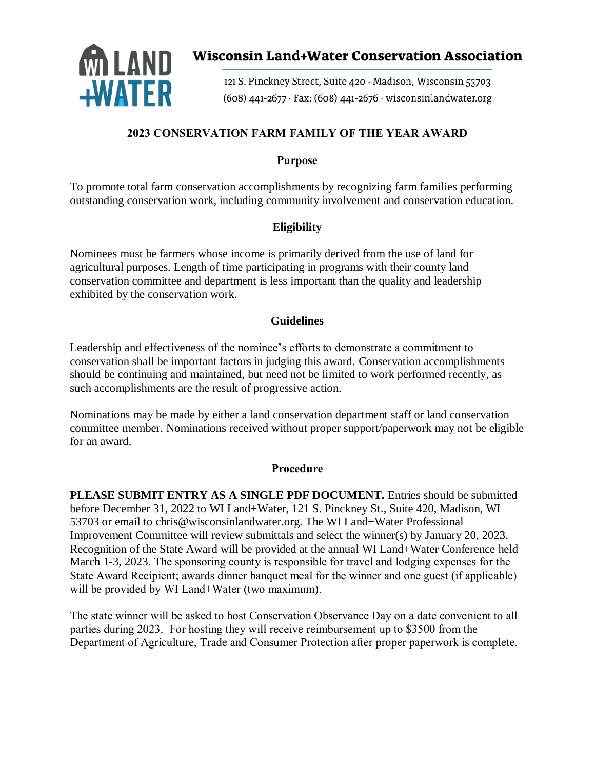

# **Wisconsin Land+Water Conservation Association**

121 S. Pinckney Street, Suite 420 · Madison, Wisconsin 53703 (608) 441-2677 · Fax: (608) 441-2676 · wisconsinlandwater.org

# **2023 CONSERVATION FARM FAMILY OF THE YEAR AWARD**

## **Purpose**

To promote total farm conservation accomplishments by recognizing farm families performing outstanding conservation work, including community involvement and conservation education.

## **Eligibility**

Nominees must be farmers whose income is primarily derived from the use of land for agricultural purposes. Length of time participating in programs with their county land conservation committee and department is less important than the quality and leadership exhibited by the conservation work.

### **Guidelines**

Leadership and effectiveness of the nominee's efforts to demonstrate a commitment to conservation shall be important factors in judging this award. Conservation accomplishments should be continuing and maintained, but need not be limited to work performed recently, as such accomplishments are the result of progressive action.

Nominations may be made by either a land conservation department staff or land conservation committee member. Nominations received without proper support/paperwork may not be eligible for an award.

#### **Procedure**

**PLEASE SUBMIT ENTRY AS A SINGLE PDF DOCUMENT.** Entries should be submitted before December 31, 2022 to WI Land+Water, 121 S. Pinckney St., Suite 420, Madison, WI 53703 or email to chris@wisconsinlandwater.org. The WI Land+Water Professional Improvement Committee will review submittals and select the winner(s) by January 20, 2023. Recognition of the State Award will be provided at the annual WI Land+Water Conference held March 1-3, 2023. The sponsoring county is responsible for travel and lodging expenses for the State Award Recipient; awards dinner banquet meal for the winner and one guest (if applicable) will be provided by WI Land+Water (two maximum).

The state winner will be asked to host Conservation Observance Day on a date convenient to all parties during 2023. For hosting they will receive reimbursement up to \$3500 from the Department of Agriculture, Trade and Consumer Protection after proper paperwork is complete.